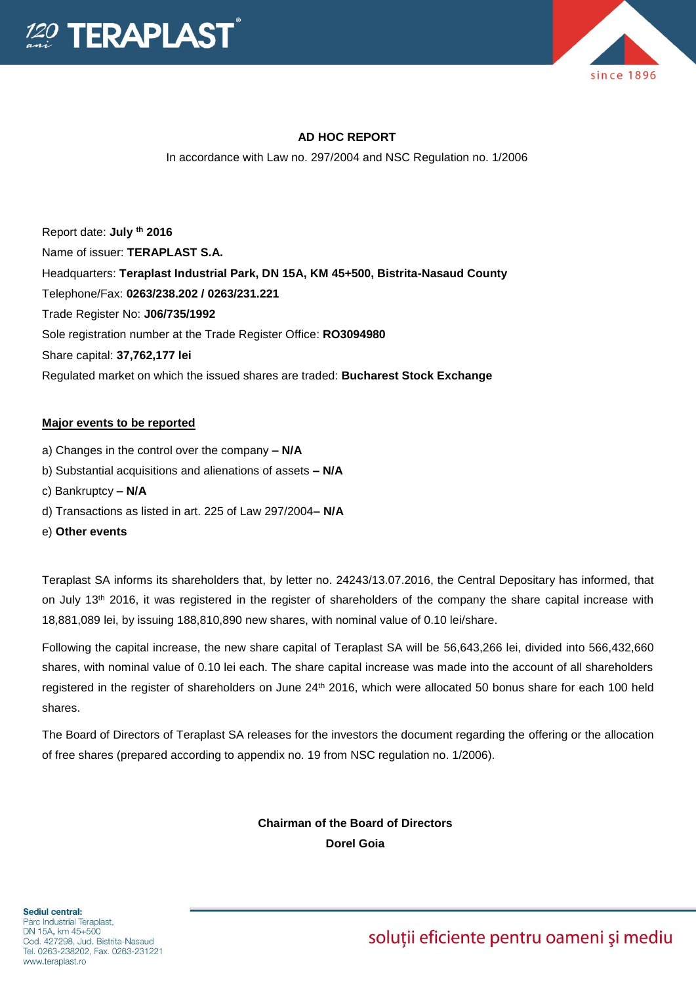



# **AD HOC REPORT**

In accordance with Law no. 297/2004 and NSC Regulation no. 1/2006

Report date: **July th 2016** Name of issuer: **TERAPLAST S.A.**  Headquarters: **Teraplast Industrial Park, DN 15A, KM 45+500, Bistrita-Nasaud County** Telephone/Fax: **0263/238.202 / 0263/231.221** Trade Register No: **J06/735/1992** Sole registration number at the Trade Register Office: **RO3094980** Share capital: **37,762,177 lei** Regulated market on which the issued shares are traded: **Bucharest Stock Exchange**

#### **Major events to be reported**

- a) Changes in the control over the company **– N/A**
- b) Substantial acquisitions and alienations of assets **– N/A**
- c) Bankruptcy **– N/A**
- d) Transactions as listed in art. 225 of Law 297/2004**– N/A**
- e) **Other events**

Teraplast SA informs its shareholders that, by letter no. 24243/13.07.2016, the Central Depositary has informed, that on July 13<sup>th</sup> 2016, it was registered in the register of shareholders of the company the share capital increase with 18,881,089 lei, by issuing 188,810,890 new shares, with nominal value of 0.10 lei/share.

Following the capital increase, the new share capital of Teraplast SA will be 56,643,266 lei, divided into 566,432,660 shares, with nominal value of 0.10 lei each. The share capital increase was made into the account of all shareholders registered in the register of shareholders on June 24<sup>th</sup> 2016, which were allocated 50 bonus share for each 100 held shares.

The Board of Directors of Teraplast SA releases for the investors the document regarding the offering or the allocation of free shares (prepared according to appendix no. 19 from NSC regulation no. 1/2006).

> **Chairman of the Board of Directors Dorel Goia**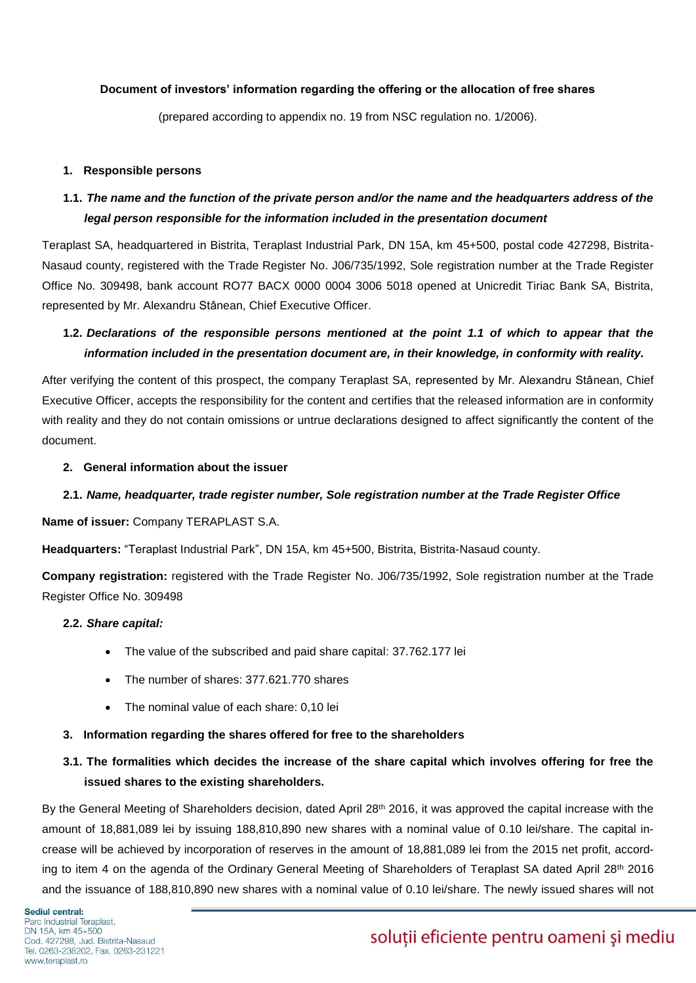### **Document of investors' information regarding the offering or the allocation of free shares**

(prepared according to appendix no. 19 from NSC regulation no. 1/2006).

### **1. Responsible persons**

# **1.1.** *The name and the function of the private person and/or the name and the headquarters address of the legal person responsible for the information included in the presentation document*

Teraplast SA, headquartered in Bistrita, Teraplast Industrial Park, DN 15A, km 45+500, postal code 427298, Bistrita-Nasaud county, registered with the Trade Register No. J06/735/1992, Sole registration number at the Trade Register Office No. 309498, bank account RO77 BACX 0000 0004 3006 5018 opened at Unicredit Tiriac Bank SA, Bistrita, represented by Mr. Alexandru Stânean, Chief Executive Officer.

# **1.2.** *Declarations of the responsible persons mentioned at the point 1.1 of which to appear that the information included in the presentation document are, in their knowledge, in conformity with reality.*

After verifying the content of this prospect, the company Teraplast SA, represented by Mr. Alexandru Stânean, Chief Executive Officer, accepts the responsibility for the content and certifies that the released information are in conformity with reality and they do not contain omissions or untrue declarations designed to affect significantly the content of the document.

### **2. General information about the issuer**

## **2.1.** *Name, headquarter, trade register number, Sole registration number at the Trade Register Office*

### **Name of issuer:** Company TERAPLAST S.A.

**Headquarters:** "Teraplast Industrial Park", DN 15A, km 45+500, Bistrita, Bistrita-Nasaud county.

**Company registration:** registered with the Trade Register No. J06/735/1992, Sole registration number at the Trade Register Office No. 309498

### **2.2.** *Share capital:*

- The value of the subscribed and paid share capital: 37.762.177 lei
- The number of shares: 377.621.770 shares
- The nominal value of each share: 0,10 lei

### **3. Information regarding the shares offered for free to the shareholders**

# **3.1. The formalities which decides the increase of the share capital which involves offering for free the issued shares to the existing shareholders.**

By the General Meeting of Shareholders decision, dated April 28<sup>th</sup> 2016, it was approved the capital increase with the amount of 18,881,089 lei by issuing 188,810,890 new shares with a nominal value of 0.10 lei/share. The capital increase will be achieved by incorporation of reserves in the amount of 18,881,089 lei from the 2015 net profit, according to item 4 on the agenda of the Ordinary General Meeting of Shareholders of Teraplast SA dated April 28<sup>th</sup> 2016 and the issuance of 188,810,890 new shares with a nominal value of 0.10 lei/share. The newly issued shares will not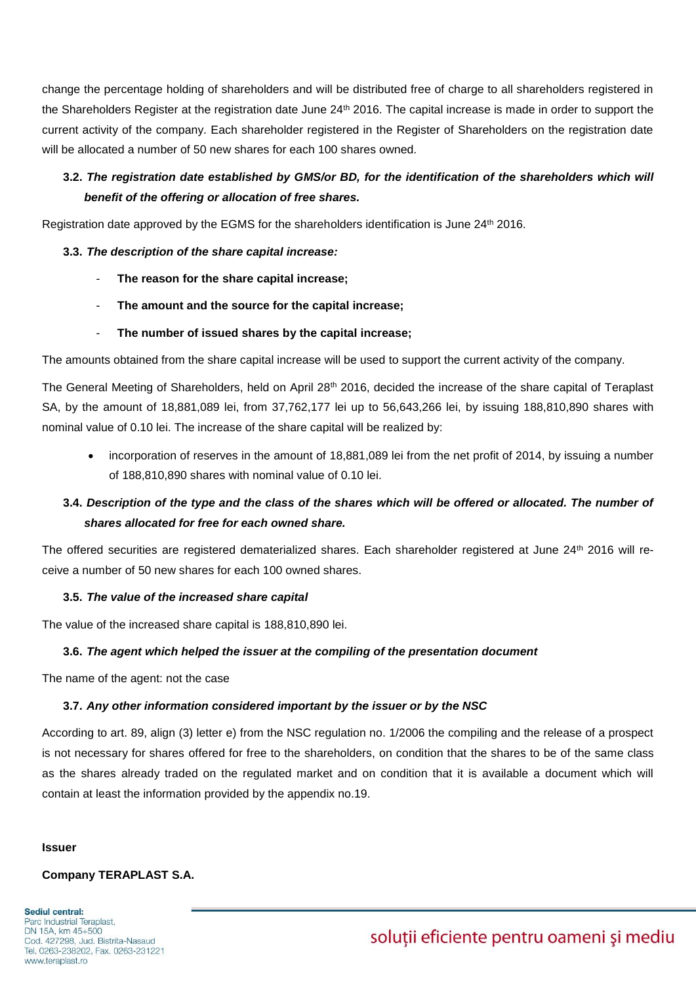change the percentage holding of shareholders and will be distributed free of charge to all shareholders registered in the Shareholders Register at the registration date June 24<sup>th</sup> 2016. The capital increase is made in order to support the current activity of the company. Each shareholder registered in the Register of Shareholders on the registration date will be allocated a number of 50 new shares for each 100 shares owned.

# **3.2.** *The registration date established by GMS/or BD, for the identification of the shareholders which will benefit of the offering or allocation of free shares.*

Registration date approved by the EGMS for the shareholders identification is June 24th 2016.

### **3.3.** *The description of the share capital increase:*

- **The reason for the share capital increase;**
- **The amount and the source for the capital increase;**
- **The number of issued shares by the capital increase;**

The amounts obtained from the share capital increase will be used to support the current activity of the company.

The General Meeting of Shareholders, held on April 28th 2016, decided the increase of the share capital of Teraplast SA, by the amount of 18,881,089 lei, from 37,762,177 lei up to 56,643,266 lei, by issuing 188,810,890 shares with nominal value of 0.10 lei. The increase of the share capital will be realized by:

 incorporation of reserves in the amount of 18,881,089 lei from the net profit of 2014, by issuing a number of 188,810,890 shares with nominal value of 0.10 lei.

# **3.4.** *Description of the type and the class of the shares which will be offered or allocated. The number of shares allocated for free for each owned share.*

The offered securities are registered dematerialized shares. Each shareholder registered at June 24th 2016 will receive a number of 50 new shares for each 100 owned shares.

## **3.5.** *The value of the increased share capital*

The value of the increased share capital is 188,810,890 lei.

### **3.6.** *The agent which helped the issuer at the compiling of the presentation document*

The name of the agent: not the case

## **3.7.** *Any other information considered important by the issuer or by the NSC*

According to art. 89, align (3) letter e) from the NSC regulation no. 1/2006 the compiling and the release of a prospect is not necessary for shares offered for free to the shareholders, on condition that the shares to be of the same class as the shares already traded on the regulated market and on condition that it is available a document which will contain at least the information provided by the appendix no.19.

#### **Issuer**

## **Company TERAPLAST S.A.**

Sediul central: Parc Industrial Teraplast, DN 15A, km 45+500 Cod. 427298, Jud. Bistrita-Nasaud Tel. 0263-238202, Fax. 0263-231221 www.teraplast.ro